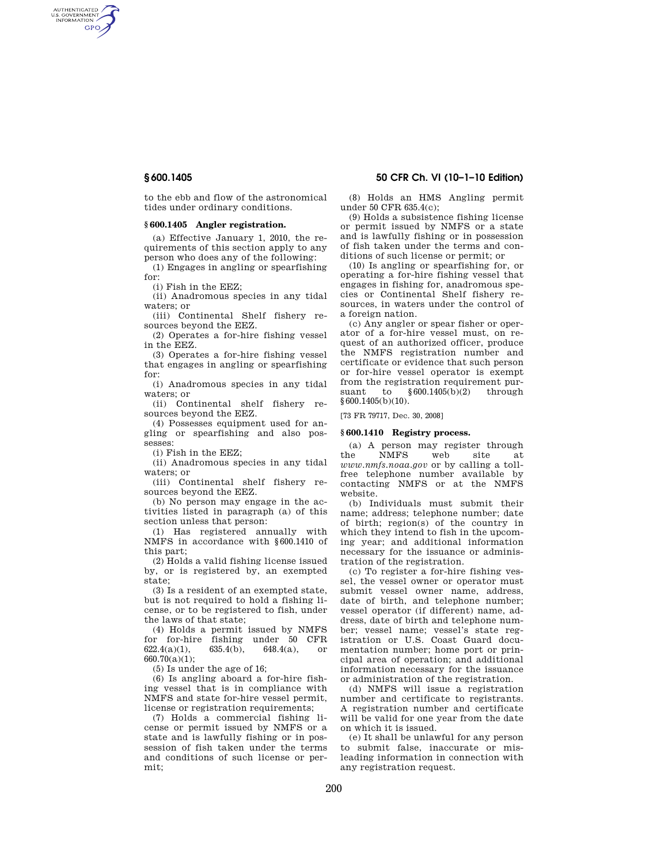AUTHENTICATED<br>U.S. GOVERNMENT<br>INFORMATION **GPO** 

> to the ebb and flow of the astronomical tides under ordinary conditions.

### **§ 600.1405 Angler registration.**

(a) Effective January 1, 2010, the requirements of this section apply to any person who does any of the following:

(1) Engages in angling or spearfishing for:

(i) Fish in the EEZ;

(ii) Anadromous species in any tidal waters; or

(iii) Continental Shelf fishery resources beyond the EEZ.

(2) Operates a for-hire fishing vessel in the EEZ.

(3) Operates a for-hire fishing vessel that engages in angling or spearfishing for:

(i) Anadromous species in any tidal waters; or

(ii) Continental shelf fishery resources beyond the EEZ.

(4) Possesses equipment used for angling or spearfishing and also possesses:

(i) Fish in the EEZ;

(ii) Anadromous species in any tidal waters; or

(iii) Continental shelf fishery resources beyond the EEZ.

(b) No person may engage in the activities listed in paragraph (a) of this section unless that person:

(1) Has registered annually with NMFS in accordance with §600.1410 of this part;

(2) Holds a valid fishing license issued by, or is registered by, an exempted state;

(3) Is a resident of an exempted state, but is not required to hold a fishing license, or to be registered to fish, under the laws of that state;

(4) Holds a permit issued by NMFS for for-hire fishing under 50 CFR  $622.4(a)(1)$ ,  $635.4(b)$ ,  $648.4(a)$ , or 622.4(a)(1), 635.4(b), 648.4(a), or 660.70(a)(1);

(5) Is under the age of 16;

(6) Is angling aboard a for-hire fishing vessel that is in compliance with NMFS and state for-hire vessel permit, license or registration requirements;

(7) Holds a commercial fishing license or permit issued by NMFS or a state and is lawfully fishing or in possession of fish taken under the terms and conditions of such license or permit;

# **§ 600.1405 50 CFR Ch. VI (10–1–10 Edition)**

(8) Holds an HMS Angling permit under 50 CFR 635.4(c);

(9) Holds a subsistence fishing license or permit issued by NMFS or a state and is lawfully fishing or in possession of fish taken under the terms and conditions of such license or permit; or

(10) Is angling or spearfishing for, or operating a for-hire fishing vessel that engages in fishing for, anadromous species or Continental Shelf fishery resources, in waters under the control of a foreign nation.

(c) Any angler or spear fisher or operator of a for-hire vessel must, on request of an authorized officer, produce the NMFS registration number and certificate or evidence that such person or for-hire vessel operator is exempt from the registration requirement pursuant to §600.1405(b)(2) through  $§ 600.1405(b)(10).$ 

[73 FR 79717, Dec. 30, 2008]

# **§ 600.1410 Registry process.**

(a) A person may register through the NMFS web site at *www.nmfs.noaa.gov* or by calling a tollfree telephone number available by contacting NMFS or at the NMFS website.

(b) Individuals must submit their name; address; telephone number; date of birth; region(s) of the country in which they intend to fish in the upcoming year; and additional information necessary for the issuance or administration of the registration.

(c) To register a for-hire fishing vessel, the vessel owner or operator must submit vessel owner name, address, date of birth, and telephone number; vessel operator (if different) name, address, date of birth and telephone number; vessel name; vessel's state registration or U.S. Coast Guard documentation number; home port or principal area of operation; and additional information necessary for the issuance or administration of the registration.

(d) NMFS will issue a registration number and certificate to registrants. A registration number and certificate will be valid for one year from the date on which it is issued.

(e) It shall be unlawful for any person to submit false, inaccurate or misleading information in connection with any registration request.